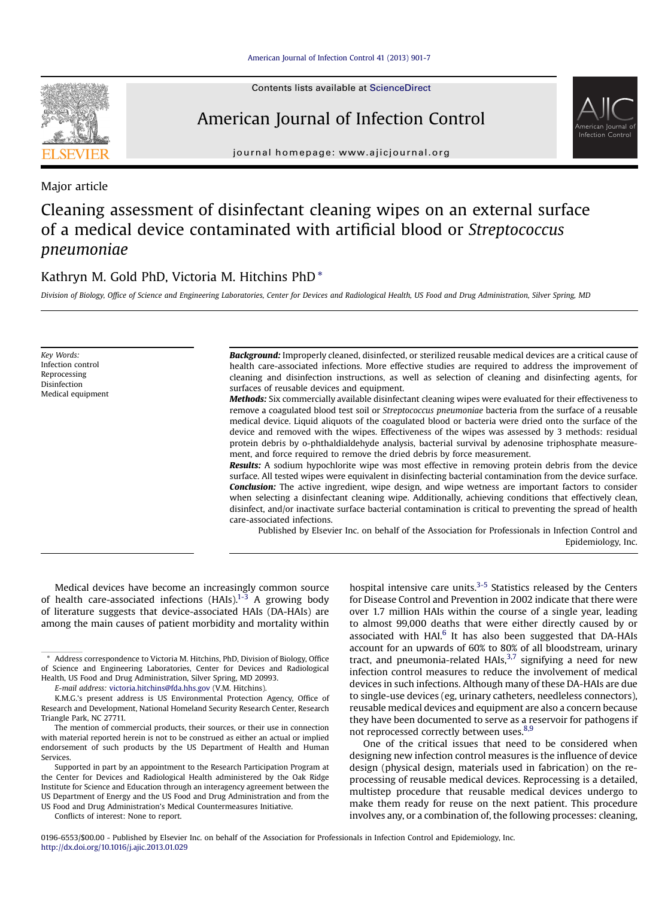

Contents lists available at ScienceDirect

# American Journal of Infection Control



journal homepage: [www.ajicjournal.org](http://www.ajicjournal.org)

Major article

# Cleaning assessment of disinfectant cleaning wipes on an external surface of a medical device contaminated with artificial blood or Streptococcus pneumoniae

## Kathryn M. Gold PhD, Victoria M. Hitchins PhD \*

Division of Biology, Office of Science and Engineering Laboratories, Center for Devices and Radiological Health, US Food and Drug Administration, Silver Spring, MD

Key Words: Infection control Reprocessing Disinfection Medical equipment Background: Improperly cleaned, disinfected, or sterilized reusable medical devices are a critical cause of health care-associated infections. More effective studies are required to address the improvement of cleaning and disinfection instructions, as well as selection of cleaning and disinfecting agents, for surfaces of reusable devices and equipment.

Methods: Six commercially available disinfectant cleaning wipes were evaluated for their effectiveness to remove a coagulated blood test soil or Streptococcus pneumoniae bacteria from the surface of a reusable medical device. Liquid aliquots of the coagulated blood or bacteria were dried onto the surface of the device and removed with the wipes. Effectiveness of the wipes was assessed by 3 methods: residual protein debris by o-phthaldialdehyde analysis, bacterial survival by adenosine triphosphate measurement, and force required to remove the dried debris by force measurement.

Results: A sodium hypochlorite wipe was most effective in removing protein debris from the device surface. All tested wipes were equivalent in disinfecting bacterial contamination from the device surface. **Conclusion:** The active ingredient, wipe design, and wipe wetness are important factors to consider when selecting a disinfectant cleaning wipe. Additionally, achieving conditions that effectively clean, disinfect, and/or inactivate surface bacterial contamination is critical to preventing the spread of health care-associated infections.

Published by Elsevier Inc. on behalf of the Association for Professionals in Infection Control and Epidemiology, Inc.

Medical devices have become an increasingly common source of health care-associated infections  $(HAIs)$ .<sup>1-3</sup> A growing body of literature suggests that device-associated HAIs (DA-HAIs) are among the main causes of patient morbidity and mortality within

Conflicts of interest: None to report.

hospital intensive care units. $3-5$  Statistics released by the Centers for Disease Control and Prevention in 2002 indicate that there were over 1.7 million HAIs within the course of a single year, leading to almost 99,000 deaths that were either directly caused by or associated with HAI.<sup>[6](#page-6-0)</sup> It has also been suggested that DA-HAIs account for an upwards of 60% to 80% of all bloodstream, urinary tract, and pneumonia-related HAIs,  $3,7$  signifying a need for new infection control measures to reduce the involvement of medical devices in such infections. Although many of these DA-HAIs are due to single-use devices (eg, urinary catheters, needleless connectors), reusable medical devices and equipment are also a concern because they have been documented to serve as a reservoir for pathogens if not reprocessed correctly between uses.<sup>[8,9](#page-6-0)</sup>

One of the critical issues that need to be considered when designing new infection control measures is the influence of device design (physical design, materials used in fabrication) on the reprocessing of reusable medical devices. Reprocessing is a detailed, multistep procedure that reusable medical devices undergo to make them ready for reuse on the next patient. This procedure involves any, or a combination of, the following processes: cleaning,

0196-6553/\$00.00 - Published by Elsevier Inc. on behalf of the Association for Professionals in Infection Control and Epidemiology, Inc. <http://dx.doi.org/10.1016/j.ajic.2013.01.029>

<sup>\*</sup> Address correspondence to Victoria M. Hitchins, PhD, Division of Biology, Office of Science and Engineering Laboratories, Center for Devices and Radiological Health, US Food and Drug Administration, Silver Spring, MD 20993.

E-mail address: [victoria.hitchins@fda.hhs.gov](mailto:victoria.hitchins@fda.hhs.gov) (V.M. Hitchins).

K.M.G.'s present address is US Environmental Protection Agency, Office of Research and Development, National Homeland Security Research Center, Research Triangle Park, NC 27711.

The mention of commercial products, their sources, or their use in connection with material reported herein is not to be construed as either an actual or implied endorsement of such products by the US Department of Health and Human **Services** 

Supported in part by an appointment to the Research Participation Program at the Center for Devices and Radiological Health administered by the Oak Ridge Institute for Science and Education through an interagency agreement between the US Department of Energy and the US Food and Drug Administration and from the US Food and Drug Administration's Medical Countermeasures Initiative.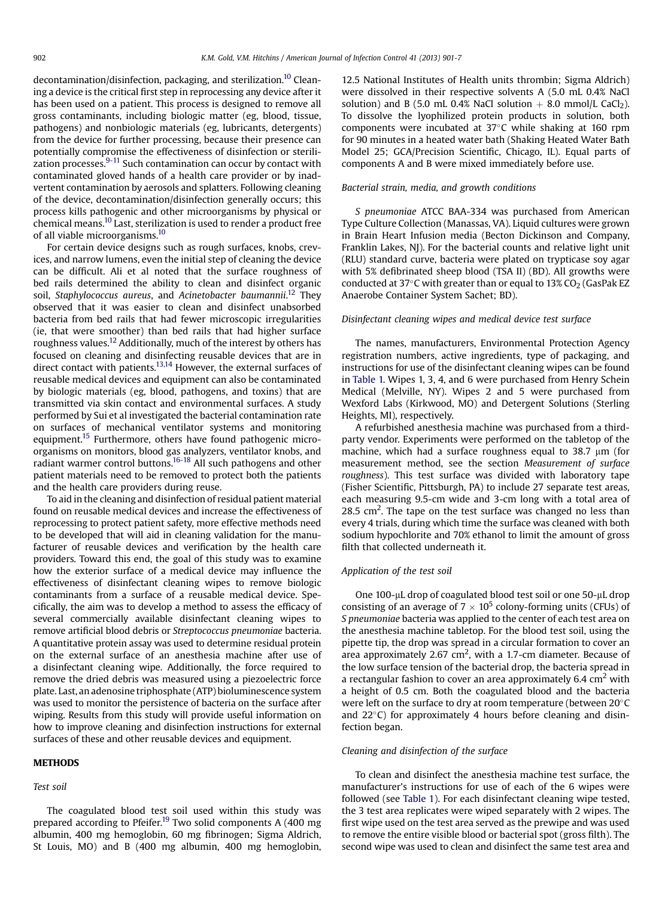decontamination/disinfection, packaging, and sterilization.<sup>[10](#page-6-0)</sup> Cleaning a device is the critical first step in reprocessing any device after it has been used on a patient. This process is designed to remove all gross contaminants, including biologic matter (eg, blood, tissue, pathogens) and nonbiologic materials (eg, lubricants, detergents) from the device for further processing, because their presence can potentially compromise the effectiveness of disinfection or sterili-zation processes.<sup>[9-11](#page-6-0)</sup> Such contamination can occur by contact with contaminated gloved hands of a health care provider or by inadvertent contamination by aerosols and splatters. Following cleaning of the device, decontamination/disinfection generally occurs; this process kills pathogenic and other microorganisms by physical or chemical means[.10](#page-6-0) Last, sterilization is used to render a product free of all viable microorganisms.<sup>10</sup>

For certain device designs such as rough surfaces, knobs, crevices, and narrow lumens, even the initial step of cleaning the device can be difficult. Ali et al noted that the surface roughness of bed rails determined the ability to clean and disinfect organic soil, Staphylococcus aureus, and Acinetobacter baumannii.<sup>[12](#page-6-0)</sup> They observed that it was easier to clean and disinfect unabsorbed bacteria from bed rails that had fewer microscopic irregularities (ie, that were smoother) than bed rails that had higher surface roughness values.<sup>12</sup> Additionally, much of the interest by others has focused on cleaning and disinfecting reusable devices that are in direct contact with patients.<sup>13,14</sup> However, the external surfaces of reusable medical devices and equipment can also be contaminated by biologic materials (eg, blood, pathogens, and toxins) that are transmitted via skin contact and environmental surfaces. A study performed by Sui et al investigated the bacterial contamination rate on surfaces of mechanical ventilator systems and monitoring equipment.<sup>15</sup> Furthermore, others have found pathogenic microorganisms on monitors, blood gas analyzers, ventilator knobs, and radiant warmer control buttons.<sup>16-18</sup> All such pathogens and other patient materials need to be removed to protect both the patients and the health care providers during reuse.

To aid in the cleaning and disinfection of residual patient material found on reusable medical devices and increase the effectiveness of reprocessing to protect patient safety, more effective methods need to be developed that will aid in cleaning validation for the manufacturer of reusable devices and verification by the health care providers. Toward this end, the goal of this study was to examine how the exterior surface of a medical device may influence the effectiveness of disinfectant cleaning wipes to remove biologic contaminants from a surface of a reusable medical device. Specifically, the aim was to develop a method to assess the efficacy of several commercially available disinfectant cleaning wipes to remove artificial blood debris or Streptococcus pneumoniae bacteria. A quantitative protein assay was used to determine residual protein on the external surface of an anesthesia machine after use of a disinfectant cleaning wipe. Additionally, the force required to remove the dried debris was measured using a piezoelectric force plate. Last, an adenosine triphosphate (ATP) bioluminescence system was used to monitor the persistence of bacteria on the surface after wiping. Results from this study will provide useful information on how to improve cleaning and disinfection instructions for external surfaces of these and other reusable devices and equipment.

#### **METHODS**

### Test soil

The coagulated blood test soil used within this study was prepared according to Pfeifer.<sup>[19](#page-6-0)</sup> Two solid components A (400 mg albumin, 400 mg hemoglobin, 60 mg fibrinogen; Sigma Aldrich, St Louis, MO) and B (400 mg albumin, 400 mg hemoglobin,

12.5 National Institutes of Health units thrombin; Sigma Aldrich) were dissolved in their respective solvents A (5.0 mL 0.4% NaCl solution) and B (5.0 mL 0.4% NaCl solution  $+$  8.0 mmol/L CaCl<sub>2</sub>). To dissolve the lyophilized protein products in solution, both components were incubated at  $37^{\circ}$ C while shaking at 160 rpm for 90 minutes in a heated water bath (Shaking Heated Water Bath Model 25; GCA/Precision Scientific, Chicago, IL). Equal parts of components A and B were mixed immediately before use.

#### Bacterial strain, media, and growth conditions

S pneumoniae ATCC BAA-334 was purchased from American Type Culture Collection (Manassas, VA). Liquid cultures were grown in Brain Heart Infusion media (Becton Dickinson and Company, Franklin Lakes, NJ). For the bacterial counts and relative light unit (RLU) standard curve, bacteria were plated on trypticase soy agar with 5% defibrinated sheep blood (TSA II) (BD). All growths were conducted at 37°C with greater than or equal to 13% CO $_2$  (GasPak EZ Anaerobe Container System Sachet; BD).

#### Disinfectant cleaning wipes and medical device test surface

The names, manufacturers, Environmental Protection Agency registration numbers, active ingredients, type of packaging, and instructions for use of the disinfectant cleaning wipes can be found in [Table 1.](#page-2-0) Wipes 1, 3, 4, and 6 were purchased from Henry Schein Medical (Melville, NY). Wipes 2 and 5 were purchased from Wexford Labs (Kirkwood, MO) and Detergent Solutions (Sterling Heights, MI), respectively.

A refurbished anesthesia machine was purchased from a thirdparty vendor. Experiments were performed on the tabletop of the machine, which had a surface roughness equal to  $38.7 \mu m$  (for measurement method, see the section Measurement of surface roughness). This test surface was divided with laboratory tape (Fisher Scientific, Pittsburgh, PA) to include 27 separate test areas, each measuring 9.5-cm wide and 3-cm long with a total area of 28.5  $\text{cm}^2$ . The tape on the test surface was changed no less than every 4 trials, during which time the surface was cleaned with both sodium hypochlorite and 70% ethanol to limit the amount of gross filth that collected underneath it.

#### Application of the test soil

One 100-µL drop of coagulated blood test soil or one 50-µL drop consisting of an average of  $7 \times 10^5$  colony-forming units (CFUs) of S pneumoniae bacteria was applied to the center of each test area on the anesthesia machine tabletop. For the blood test soil, using the pipette tip, the drop was spread in a circular formation to cover an area approximately 2.67 cm<sup>2</sup>, with a 1.7-cm diameter. Because of the low surface tension of the bacterial drop, the bacteria spread in a rectangular fashion to cover an area approximately  $6.4 \text{ cm}^2$  with a height of 0.5 cm. Both the coagulated blood and the bacteria were left on the surface to dry at room temperature (between 20 $^{\circ}$ C and  $22^{\circ}$ C) for approximately 4 hours before cleaning and disinfection began.

#### Cleaning and disinfection of the surface

To clean and disinfect the anesthesia machine test surface, the manufacturer's instructions for use of each of the 6 wipes were followed (see [Table 1\)](#page-2-0). For each disinfectant cleaning wipe tested, the 3 test area replicates were wiped separately with 2 wipes. The first wipe used on the test area served as the prewipe and was used to remove the entire visible blood or bacterial spot (gross filth). The second wipe was used to clean and disinfect the same test area and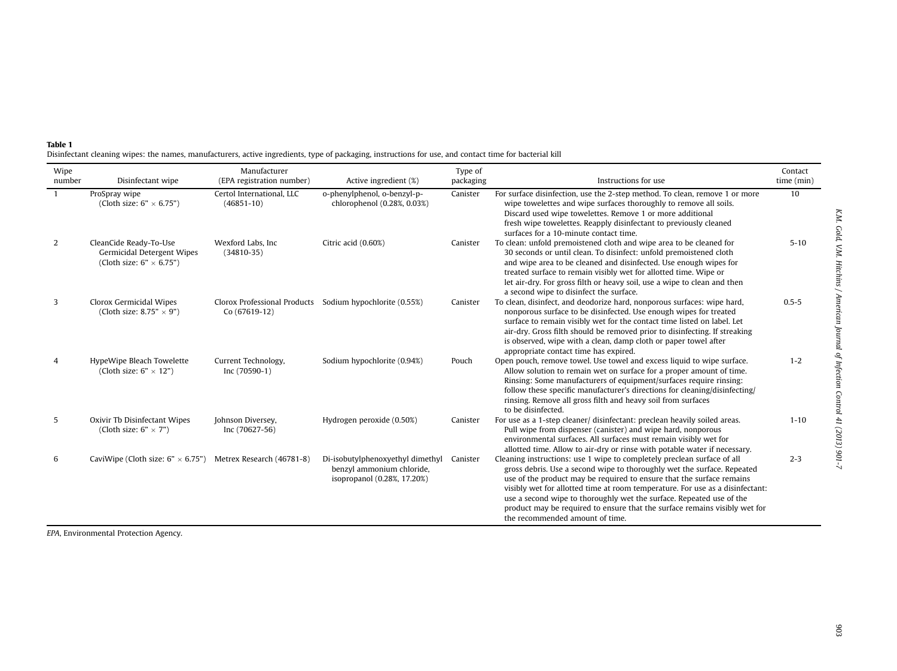| Wipe<br>number | Disinfectant wipe                                                                        | Manufacturer<br>(EPA registration number)     | Active ingredient (%)                                                                        | Type of<br>packaging | Instructions for use                                                                                                                                                                                                                                                                                                                                                                                                                                                                                  | Contact<br>time (min) |
|----------------|------------------------------------------------------------------------------------------|-----------------------------------------------|----------------------------------------------------------------------------------------------|----------------------|-------------------------------------------------------------------------------------------------------------------------------------------------------------------------------------------------------------------------------------------------------------------------------------------------------------------------------------------------------------------------------------------------------------------------------------------------------------------------------------------------------|-----------------------|
|                | ProSpray wipe<br>(Cloth size: $6" \times 6.75"$ )                                        | Certol International, LLC<br>$(46851 - 10)$   | o-phenylphenol, o-benzyl-p-<br>chlorophenol (0.28%, 0.03%)                                   | Canister             | For surface disinfection, use the 2-step method. To clean, remove 1 or more<br>wipe towelettes and wipe surfaces thoroughly to remove all soils.<br>Discard used wipe towelettes. Remove 1 or more additional<br>fresh wipe towelettes. Reapply disinfectant to previously cleaned<br>surfaces for a 10-minute contact time.                                                                                                                                                                          | 10                    |
| 2              | CleanCide Ready-To-Use<br>Germicidal Detergent Wipes<br>(Cloth size: $6" \times 6.75"$ ) | Wexford Labs, Inc.<br>$(34810 - 35)$          | Citric acid (0.60%)                                                                          | Canister             | To clean: unfold premoistened cloth and wipe area to be cleaned for<br>30 seconds or until clean. To disinfect: unfold premoistened cloth<br>and wipe area to be cleaned and disinfected. Use enough wipes for<br>treated surface to remain visibly wet for allotted time. Wipe or<br>let air-dry. For gross filth or heavy soil, use a wipe to clean and then<br>a second wipe to disinfect the surface.                                                                                             | $5 - 10$              |
| 3              | Clorox Germicidal Wipes<br>(Cloth size: $8.75" \times 9"$ )                              | Clorox Professional Products<br>Co (67619-12) | Sodium hypochlorite (0.55%)                                                                  | Canister             | To clean, disinfect, and deodorize hard, nonporous surfaces: wipe hard,<br>nonporous surface to be disinfected. Use enough wipes for treated<br>surface to remain visibly wet for the contact time listed on label. Let<br>air-dry. Gross filth should be removed prior to disinfecting. If streaking<br>is observed, wipe with a clean, damp cloth or paper towel after<br>appropriate contact time has expired.                                                                                     | $0.5 - 5$             |
| 4              | HypeWipe Bleach Towelette<br>(Cloth size: $6" \times 12"$ )                              | Current Technology,<br>$Inc(70590-1)$         | Sodium hypochlorite (0.94%)                                                                  | Pouch                | Open pouch, remove towel. Use towel and excess liquid to wipe surface.<br>Allow solution to remain wet on surface for a proper amount of time.<br>Rinsing: Some manufacturers of equipment/surfaces require rinsing:<br>follow these specific manufacturer's directions for cleaning/disinfecting/<br>rinsing. Remove all gross filth and heavy soil from surfaces<br>to be disinfected.                                                                                                              | $1 - 2$               |
| 5              | Oxivir Tb Disinfectant Wipes<br>(Cloth size: $6" \times 7"$ )                            | Johnson Diversey,<br>$Inc(70627-56)$          | Hydrogen peroxide (0.50%)                                                                    | Canister             | For use as a 1-step cleaner/ disinfectant: preclean heavily soiled areas.<br>Pull wipe from dispenser (canister) and wipe hard, nonporous<br>environmental surfaces. All surfaces must remain visibly wet for<br>allotted time. Allow to air-dry or rinse with potable water if necessary.                                                                                                                                                                                                            | $1 - 10$              |
| 6              | CaviWipe (Cloth size: $6" \times 6.75"$ ) Metrex Research (46781-8)                      |                                               | Di-isobutylphenoxyethyl dimethyl<br>benzyl ammonium chloride,<br>isopropanol (0.28%, 17.20%) | Canister             | Cleaning instructions: use 1 wipe to completely preclean surface of all<br>gross debris. Use a second wipe to thoroughly wet the surface. Repeated<br>use of the product may be required to ensure that the surface remains<br>visibly wet for allotted time at room temperature. For use as a disinfectant:<br>use a second wipe to thoroughly wet the surface. Repeated use of the<br>product may be required to ensure that the surface remains visibly wet for<br>the recommended amount of time. | $2 - 3$               |

<span id="page-2-0"></span>**Table 1**<br>Disinfectant cleaning wipes: the names, manufacturers, active ingredients, type of packaging, instructions for use, and contact time for bacterial kill

EPA, Environmental Protection Agency.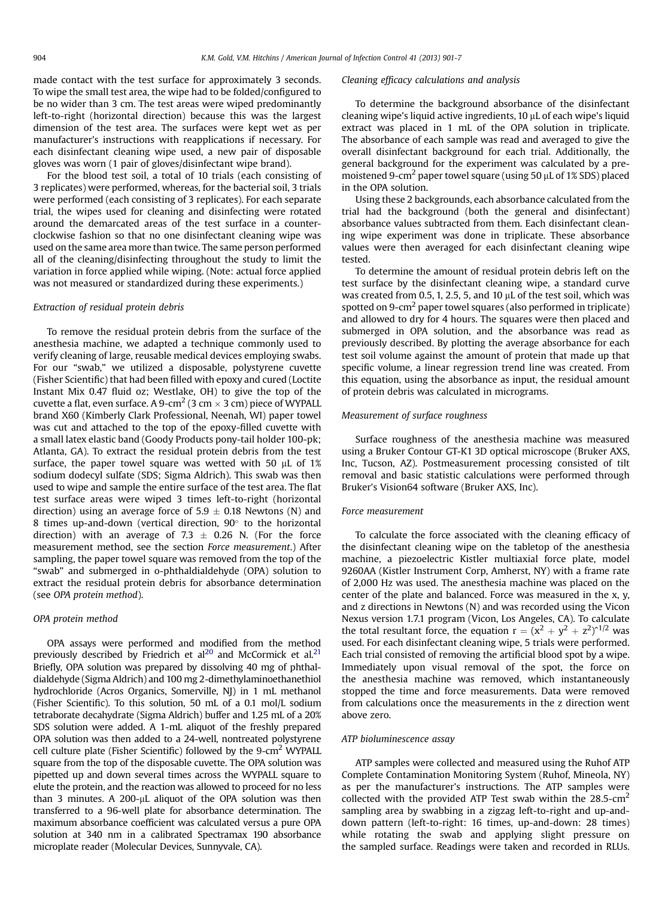made contact with the test surface for approximately 3 seconds. To wipe the small test area, the wipe had to be folded/configured to be no wider than 3 cm. The test areas were wiped predominantly left-to-right (horizontal direction) because this was the largest dimension of the test area. The surfaces were kept wet as per manufacturer's instructions with reapplications if necessary. For each disinfectant cleaning wipe used, a new pair of disposable gloves was worn (1 pair of gloves/disinfectant wipe brand).

For the blood test soil, a total of 10 trials (each consisting of 3 replicates) were performed, whereas, for the bacterial soil, 3 trials were performed (each consisting of 3 replicates). For each separate trial, the wipes used for cleaning and disinfecting were rotated around the demarcated areas of the test surface in a counterclockwise fashion so that no one disinfectant cleaning wipe was used on the same area more than twice. The same person performed all of the cleaning/disinfecting throughout the study to limit the variation in force applied while wiping. (Note: actual force applied was not measured or standardized during these experiments.)

#### Extraction of residual protein debris

To remove the residual protein debris from the surface of the anesthesia machine, we adapted a technique commonly used to verify cleaning of large, reusable medical devices employing swabs. For our "swab," we utilized a disposable, polystyrene cuvette (Fisher Scientific) that had been filled with epoxy and cured (Loctite Instant Mix 0.47 fluid oz; Westlake, OH) to give the top of the cuvette a flat, even surface. A 9-cm<sup>2</sup> (3 cm  $\times$  3 cm) piece of WYPALL brand X60 (Kimberly Clark Professional, Neenah, WI) paper towel was cut and attached to the top of the epoxy-filled cuvette with a small latex elastic band (Goody Products pony-tail holder 100-pk; Atlanta, GA). To extract the residual protein debris from the test surface, the paper towel square was wetted with 50  $\mu$ L of 1% sodium dodecyl sulfate (SDS; Sigma Aldrich). This swab was then used to wipe and sample the entire surface of the test area. The flat test surface areas were wiped 3 times left-to-right (horizontal direction) using an average force of  $5.9 \pm 0.18$  Newtons (N) and 8 times up-and-down (vertical direction,  $90^{\circ}$  to the horizontal direction) with an average of 7.3  $\pm$  0.26 N. (For the force measurement method, see the section Force measurement.) After sampling, the paper towel square was removed from the top of the "swab" and submerged in o-phthaldialdehyde (OPA) solution to extract the residual protein debris for absorbance determination (see OPA protein method).

#### OPA protein method

OPA assays were performed and modified from the method previously described by Friedrich et al<sup>[20](#page-6-0)</sup> and McCormick et al.<sup>21</sup> Briefly, OPA solution was prepared by dissolving 40 mg of phthaldialdehyde (Sigma Aldrich) and 100 mg 2-dimethylaminoethanethiol hydrochloride (Acros Organics, Somerville, NJ) in 1 mL methanol (Fisher Scientific). To this solution, 50 mL of a 0.1 mol/L sodium tetraborate decahydrate (Sigma Aldrich) buffer and 1.25 mL of a 20% SDS solution were added. A 1-mL aliquot of the freshly prepared OPA solution was then added to a 24-well, nontreated polystyrene cell culture plate (Fisher Scientific) followed by the  $9$ -cm<sup>2</sup> WYPALL square from the top of the disposable cuvette. The OPA solution was pipetted up and down several times across the WYPALL square to elute the protein, and the reaction was allowed to proceed for no less than 3 minutes. A 200-µL aliquot of the OPA solution was then transferred to a 96-well plate for absorbance determination. The maximum absorbance coefficient was calculated versus a pure OPA solution at 340 nm in a calibrated Spectramax 190 absorbance microplate reader (Molecular Devices, Sunnyvale, CA).

#### Cleaning efficacy calculations and analysis

To determine the background absorbance of the disinfectant cleaning wipe's liquid active ingredients,  $10 \mu$ L of each wipe's liquid extract was placed in 1 mL of the OPA solution in triplicate. The absorbance of each sample was read and averaged to give the overall disinfectant background for each trial. Additionally, the general background for the experiment was calculated by a premoistened 9-cm<sup>2</sup> paper towel square (using 50  $\mu$ L of 1% SDS) placed in the OPA solution.

Using these 2 backgrounds, each absorbance calculated from the trial had the background (both the general and disinfectant) absorbance values subtracted from them. Each disinfectant cleaning wipe experiment was done in triplicate. These absorbance values were then averaged for each disinfectant cleaning wipe tested.

To determine the amount of residual protein debris left on the test surface by the disinfectant cleaning wipe, a standard curve was created from 0.5, 1, 2.5, 5, and 10  $\mu$ L of the test soil, which was spotted on 9-cm<sup>2</sup> paper towel squares (also performed in triplicate) and allowed to dry for 4 hours. The squares were then placed and submerged in OPA solution, and the absorbance was read as previously described. By plotting the average absorbance for each test soil volume against the amount of protein that made up that specific volume, a linear regression trend line was created. From this equation, using the absorbance as input, the residual amount of protein debris was calculated in micrograms.

#### Measurement of surface roughness

Surface roughness of the anesthesia machine was measured using a Bruker Contour GT-K1 3D optical microscope (Bruker AXS, Inc, Tucson, AZ). Postmeasurement processing consisted of tilt removal and basic statistic calculations were performed through Bruker's Vision64 software (Bruker AXS, Inc).

#### Force measurement

To calculate the force associated with the cleaning efficacy of the disinfectant cleaning wipe on the tabletop of the anesthesia machine, a piezoelectric Kistler multiaxial force plate, model 9260AA (Kistler Instrument Corp, Amherst, NY) with a frame rate of 2,000 Hz was used. The anesthesia machine was placed on the center of the plate and balanced. Force was measured in the x, y, and z directions in Newtons (N) and was recorded using the Vicon Nexus version 1.7.1 program (Vicon, Los Angeles, CA). To calculate the total resultant force, the equation  $r = (x^2 + y^2 + z^2)^{-1/2}$  was used. For each disinfectant cleaning wipe, 5 trials were performed. Each trial consisted of removing the artificial blood spot by a wipe. Immediately upon visual removal of the spot, the force on the anesthesia machine was removed, which instantaneously stopped the time and force measurements. Data were removed from calculations once the measurements in the z direction went above zero.

#### ATP bioluminescence assay

ATP samples were collected and measured using the Ruhof ATP Complete Contamination Monitoring System (Ruhof, Mineola, NY) as per the manufacturer's instructions. The ATP samples were collected with the provided ATP Test swab within the  $28.5$ -cm<sup>2</sup> sampling area by swabbing in a zigzag left-to-right and up-anddown pattern (left-to-right: 16 times, up-and-down: 28 times) while rotating the swab and applying slight pressure on the sampled surface. Readings were taken and recorded in RLUs.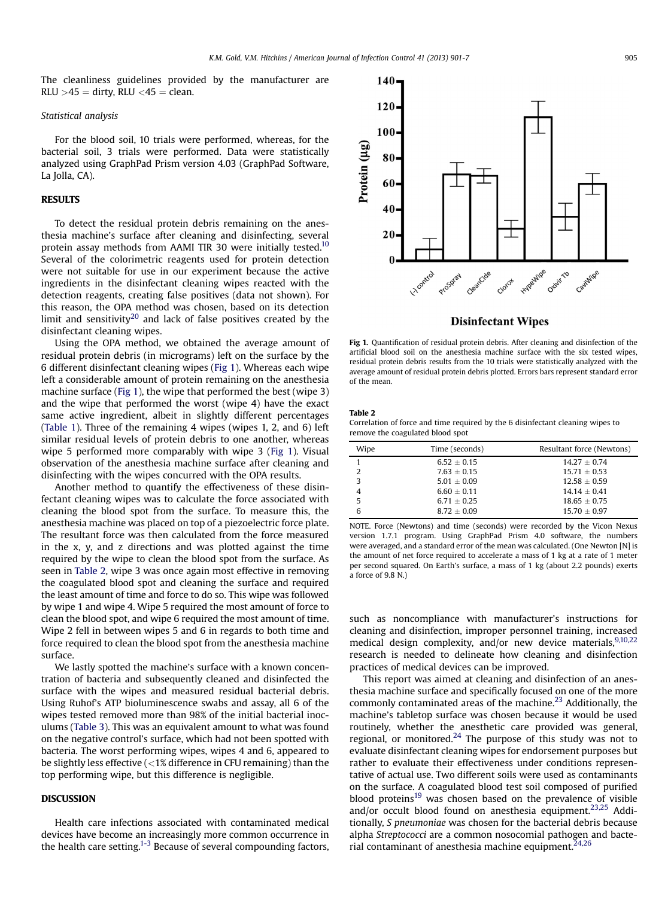<span id="page-4-0"></span>The cleanliness guidelines provided by the manufacturer are RLU  $>45$  = dirty, RLU  $<$ 45 = clean.

#### Statistical analysis

For the blood soil, 10 trials were performed, whereas, for the bacterial soil, 3 trials were performed. Data were statistically analyzed using GraphPad Prism version 4.03 (GraphPad Software, La Jolla, CA).

#### **RESULTS**

To detect the residual protein debris remaining on the anesthesia machine's surface after cleaning and disinfecting, several protein assay methods from AAMI TIR 30 were initially tested.<sup>[10](#page-6-0)</sup> Several of the colorimetric reagents used for protein detection were not suitable for use in our experiment because the active ingredients in the disinfectant cleaning wipes reacted with the detection reagents, creating false positives (data not shown). For this reason, the OPA method was chosen, based on its detection limit and sensitivity<sup>[20](#page-6-0)</sup> and lack of false positives created by the disinfectant cleaning wipes.

Using the OPA method, we obtained the average amount of residual protein debris (in micrograms) left on the surface by the 6 different disinfectant cleaning wipes (Fig 1). Whereas each wipe left a considerable amount of protein remaining on the anesthesia machine surface (Fig 1), the wipe that performed the best (wipe 3) and the wipe that performed the worst (wipe 4) have the exact same active ingredient, albeit in slightly different percentages ([Table 1\)](#page-2-0). Three of the remaining 4 wipes (wipes 1, 2, and 6) left similar residual levels of protein debris to one another, whereas wipe 5 performed more comparably with wipe 3 (Fig 1). Visual observation of the anesthesia machine surface after cleaning and disinfecting with the wipes concurred with the OPA results.

Another method to quantify the effectiveness of these disinfectant cleaning wipes was to calculate the force associated with cleaning the blood spot from the surface. To measure this, the anesthesia machine was placed on top of a piezoelectric force plate. The resultant force was then calculated from the force measured in the x, y, and z directions and was plotted against the time required by the wipe to clean the blood spot from the surface. As seen in Table 2, wipe 3 was once again most effective in removing the coagulated blood spot and cleaning the surface and required the least amount of time and force to do so. This wipe was followed by wipe 1 and wipe 4. Wipe 5 required the most amount of force to clean the blood spot, and wipe 6 required the most amount of time. Wipe 2 fell in between wipes 5 and 6 in regards to both time and force required to clean the blood spot from the anesthesia machine surface.

We lastly spotted the machine's surface with a known concentration of bacteria and subsequently cleaned and disinfected the surface with the wipes and measured residual bacterial debris. Using Ruhof's ATP bioluminescence swabs and assay, all 6 of the wipes tested removed more than 98% of the initial bacterial inoculums [\(Table 3](#page-5-0)). This was an equivalent amount to what was found on the negative control's surface, which had not been spotted with bacteria. The worst performing wipes, wipes 4 and 6, appeared to be slightly less effective  $\left($  < 1% difference in CFU remaining) than the top performing wipe, but this difference is negligible.

#### **DISCUSSION**

Health care infections associated with contaminated medical devices have become an increasingly more common occurrence in the health care setting.<sup>[1-3](#page-6-0)</sup> Because of several compounding factors,



### **Disinfectant Wipes**

Fig 1. Quantification of residual protein debris. After cleaning and disinfection of the artificial blood soil on the anesthesia machine surface with the six tested wipes, residual protein debris results from the 10 trials were statistically analyzed with the average amount of residual protein debris plotted. Errors bars represent standard error of the mean.

#### Table 2

Correlation of force and time required by the 6 disinfectant cleaning wipes to remove the coagulated blood spot

| Wipe | Time (seconds) | Resultant force (Newtons) |
|------|----------------|---------------------------|
| 1    | $6.52 + 0.15$  | $14.27 + 0.74$            |
| 2    | $7.63 + 0.15$  | $15.71 + 0.53$            |
| 3    | $5.01 + 0.09$  | $12.58 + 0.59$            |
| 4    | $6.60 + 0.11$  | $14.14 + 0.41$            |
| 5    | $6.71 + 0.25$  | $18.65 + 0.75$            |
| 6    | $8.72 + 0.09$  | $15.70 + 0.97$            |

NOTE. Force (Newtons) and time (seconds) were recorded by the Vicon Nexus version 1.7.1 program. Using GraphPad Prism 4.0 software, the numbers were averaged, and a standard error of the mean was calculated. (One Newton [N] is the amount of net force required to accelerate a mass of 1 kg at a rate of 1 meter per second squared. On Earth's surface, a mass of 1 kg (about 2.2 pounds) exerts a force of 9.8 N.)

such as noncompliance with manufacturer's instructions for cleaning and disinfection, improper personnel training, increased medical design complexity, and/or new device materials, $9,10,22$ research is needed to delineate how cleaning and disinfection practices of medical devices can be improved.

This report was aimed at cleaning and disinfection of an anesthesia machine surface and specifically focused on one of the more commonly contaminated areas of the machine.<sup>[23](#page-6-0)</sup> Additionally, the machine's tabletop surface was chosen because it would be used routinely, whether the anesthetic care provided was general, regional, or monitored. $24$  The purpose of this study was not to evaluate disinfectant cleaning wipes for endorsement purposes but rather to evaluate their effectiveness under conditions representative of actual use. Two different soils were used as contaminants on the surface. A coagulated blood test soil composed of purified blood proteins<sup>19</sup> was chosen based on the prevalence of visible and/or occult blood found on anesthesia equipment.<sup>[23,25](#page-6-0)</sup> Additionally, S pneumoniae was chosen for the bacterial debris because alpha Streptococci are a common nosocomial pathogen and bacterial contaminant of anesthesia machine equipment. $24,26$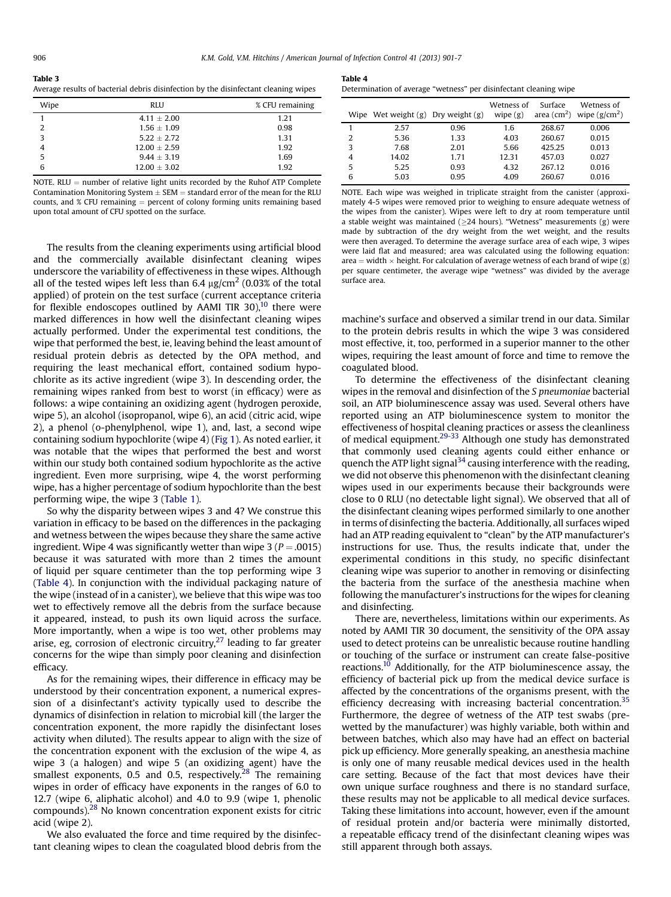<span id="page-5-0"></span>Table 3

Average results of bacterial debris disinfection by the disinfectant cleaning wipes

| Wipe | RLU              | % CFU remaining |
|------|------------------|-----------------|
| 1    | $4.11 \pm 2.00$  | 1.21            |
| 2    | $1.56 \pm 1.09$  | 0.98            |
| 3    | $5.22 + 2.72$    | 1.31            |
| 4    | $12.00 \pm 2.59$ | 1.92            |
| 5    | $9.44 + 3.19$    | 1.69            |
| 6    | $12.00 \pm 3.02$ | 1.92            |

NOTE. RLU  $=$  number of relative light units recorded by the Ruhof ATP Complete Contamination Monitoring System  $\pm$  SEM  $=$  standard error of the mean for the RLU counts, and  $%$  CFU remaining  $=$  percent of colony forming units remaining based upon total amount of CFU spotted on the surface.

| Table 4                                                           |  |
|-------------------------------------------------------------------|--|
| Determination of average "wetness" per disinfectant cleaning wipe |  |

|                | Wipe Wet weight $(g)$ Dry weight $(g)$ |      | Wetness of<br>wipe $(g)$ | Surface | Wetness of<br>area (cm <sup>2</sup> ) wipe $(g/cm^2)$ |
|----------------|----------------------------------------|------|--------------------------|---------|-------------------------------------------------------|
|                | 2.57                                   | 0.96 | 1.6                      | 268.67  | 0.006                                                 |
| 2              | 5.36                                   | 1.33 | 4.03                     | 260.67  | 0.015                                                 |
| 3              | 7.68                                   | 2.01 | 5.66                     | 425.25  | 0.013                                                 |
| $\overline{4}$ | 14.02                                  | 1.71 | 12.31                    | 457.03  | 0.027                                                 |
| 5              | 5.25                                   | 0.93 | 4.32                     | 267.12  | 0.016                                                 |
| 6              | 5.03                                   | 0.95 | 4.09                     | 260.67  | 0.016                                                 |

NOTE. Each wipe was weighed in triplicate straight from the canister (approximately 4-5 wipes were removed prior to weighing to ensure adequate wetness of the wipes from the canister). Wipes were left to dry at room temperature until a stable weight was maintained ( $\geq$ 24 hours). "Wetness" measurements (g) were made by subtraction of the dry weight from the wet weight, and the results were then averaged. To determine the average surface area of each wipe, 3 wipes were laid flat and measured; area was calculated using the following equation: area  $=$  width  $\times$  height. For calculation of average wetness of each brand of wipe (g) per square centimeter, the average wipe "wetness" was divided by the average surface area.

machine's surface and observed a similar trend in our data. Similar to the protein debris results in which the wipe 3 was considered most effective, it, too, performed in a superior manner to the other wipes, requiring the least amount of force and time to remove the coagulated blood.

To determine the effectiveness of the disinfectant cleaning wipes in the removal and disinfection of the S pneumoniae bacterial soil, an ATP bioluminescence assay was used. Several others have reported using an ATP bioluminescence system to monitor the effectiveness of hospital cleaning practices or assess the cleanliness of medical equipment.<sup>[29-33](#page-6-0)</sup> Although one study has demonstrated that commonly used cleaning agents could either enhance or quench the ATP light signal<sup>[34](#page-6-0)</sup> causing interference with the reading, we did not observe this phenomenon with the disinfectant cleaning wipes used in our experiments because their backgrounds were close to 0 RLU (no detectable light signal). We observed that all of the disinfectant cleaning wipes performed similarly to one another in terms of disinfecting the bacteria. Additionally, all surfaces wiped had an ATP reading equivalent to "clean" by the ATP manufacturer's instructions for use. Thus, the results indicate that, under the experimental conditions in this study, no specific disinfectant cleaning wipe was superior to another in removing or disinfecting the bacteria from the surface of the anesthesia machine when following the manufacturer's instructions for the wipes for cleaning and disinfecting.

There are, nevertheless, limitations within our experiments. As noted by AAMI TIR 30 document, the sensitivity of the OPA assay used to detect proteins can be unrealistic because routine handling or touching of the surface or instrument can create false-positive reactions.<sup>10</sup> Additionally, for the ATP bioluminescence assay, the efficiency of bacterial pick up from the medical device surface is affected by the concentrations of the organisms present, with the efficiency decreasing with increasing bacterial concentration.<sup>[35](#page-6-0)</sup> Furthermore, the degree of wetness of the ATP test swabs (prewetted by the manufacturer) was highly variable, both within and between batches, which also may have had an effect on bacterial pick up efficiency. More generally speaking, an anesthesia machine is only one of many reusable medical devices used in the health care setting. Because of the fact that most devices have their own unique surface roughness and there is no standard surface, these results may not be applicable to all medical device surfaces. Taking these limitations into account, however, even if the amount of residual protein and/or bacteria were minimally distorted, a repeatable efficacy trend of the disinfectant cleaning wipes was still apparent through both assays.

The results from the cleaning experiments using artificial blood and the commercially available disinfectant cleaning wipes underscore the variability of effectiveness in these wipes. Although all of the tested wipes left less than 6.4  $\mu$ g/cm<sup>2</sup> (0.03% of the total applied) of protein on the test surface (current acceptance criteria for flexible endoscopes outlined by AAMI TIR 30), $^{10}$  there were marked differences in how well the disinfectant cleaning wipes actually performed. Under the experimental test conditions, the wipe that performed the best, ie, leaving behind the least amount of residual protein debris as detected by the OPA method, and requiring the least mechanical effort, contained sodium hypochlorite as its active ingredient (wipe 3). In descending order, the remaining wipes ranked from best to worst (in efficacy) were as follows: a wipe containing an oxidizing agent (hydrogen peroxide, wipe 5), an alcohol (isopropanol, wipe 6), an acid (citric acid, wipe 2), a phenol (o-phenylphenol, wipe 1), and, last, a second wipe containing sodium hypochlorite (wipe 4) [\(Fig 1](#page-4-0)). As noted earlier, it was notable that the wipes that performed the best and worst within our study both contained sodium hypochlorite as the active ingredient. Even more surprising, wipe 4, the worst performing wipe, has a higher percentage of sodium hypochlorite than the best performing wipe, the wipe 3 ([Table 1\)](#page-2-0).

So why the disparity between wipes 3 and 4? We construe this variation in efficacy to be based on the differences in the packaging and wetness between the wipes because they share the same active ingredient. Wipe 4 was significantly wetter than wipe 3 ( $P = .0015$ ) because it was saturated with more than 2 times the amount of liquid per square centimeter than the top performing wipe 3 (Table 4). In conjunction with the individual packaging nature of the wipe (instead of in a canister), we believe that this wipe was too wet to effectively remove all the debris from the surface because it appeared, instead, to push its own liquid across the surface. More importantly, when a wipe is too wet, other problems may arise, eg, corrosion of electronic circuitry, $27$  leading to far greater concerns for the wipe than simply poor cleaning and disinfection efficacy.

As for the remaining wipes, their difference in efficacy may be understood by their concentration exponent, a numerical expression of a disinfectant's activity typically used to describe the dynamics of disinfection in relation to microbial kill (the larger the concentration exponent, the more rapidly the disinfectant loses activity when diluted). The results appear to align with the size of the concentration exponent with the exclusion of the wipe 4, as wipe 3 (a halogen) and wipe 5 (an oxidizing agent) have the smallest exponents, 0.5 and 0.5, respectively.<sup>[28](#page-6-0)</sup> The remaining wipes in order of efficacy have exponents in the ranges of 6.0 to 12.7 (wipe 6, aliphatic alcohol) and 4.0 to 9.9 (wipe 1, phenolic compounds).[28](#page-6-0) No known concentration exponent exists for citric acid (wipe 2).

We also evaluated the force and time required by the disinfectant cleaning wipes to clean the coagulated blood debris from the